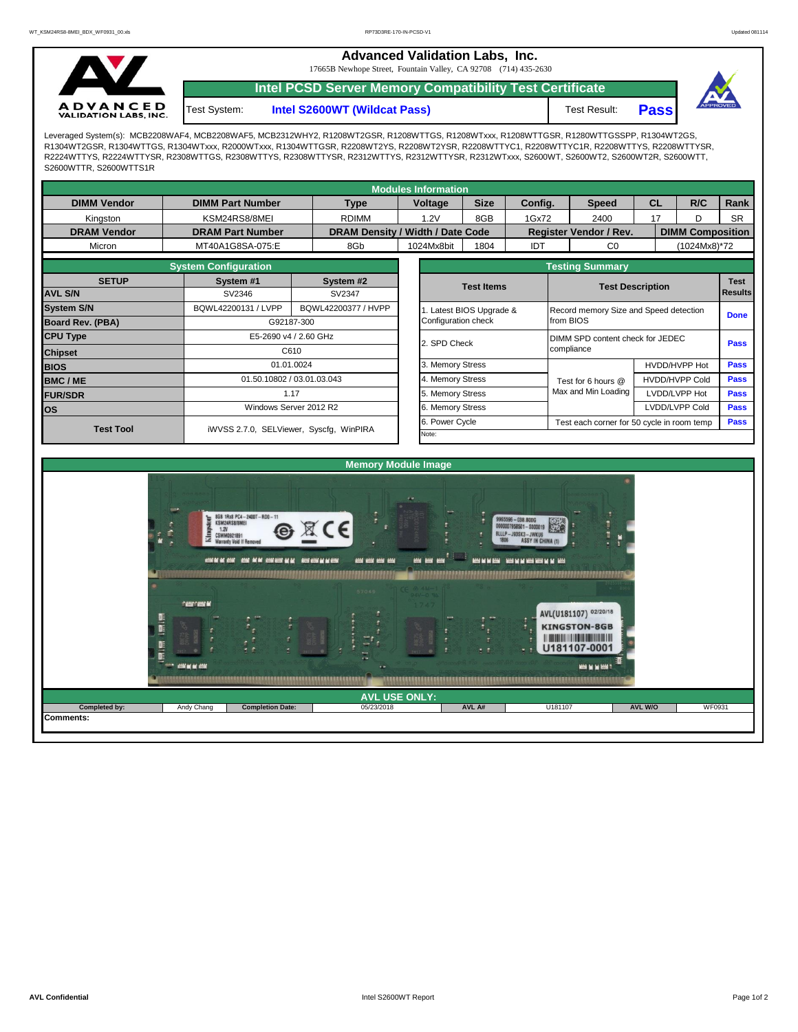**Advanced Validation Labs, Inc.** 

17665B Newhope Street, Fountain Valley, CA 92708 (714) 435-2630



Test System:

**Intel PCSD Server Memory Compatibility Test Certificate**

**Intel S2600WT (Wildcat Pass)** Test Result: **Pass** 



Leveraged System(s): MCB2208WAF4, MCB2208WAF5, MCB2312WHY2, R1208WT2GSR, R1208WTTGS, R1208WTxxx, R1208WTTGSR, R1280WTTGSSPP, R1304WT2GS, R1304WT2GSR, R1304WTTGS, R1304WTxxx, R2000WTxxx, R1304WTTGSR, R2208WT2YS, R2208WT2YSR, R2208WTTYC1, R2208WTTYC1R, R2208WTTYS, R2208WTTYSR, R2224WTTYS, R2224WTTYSR, R2308WTTGS, R2308WTTYS, R2308WTTYSR, R2312WTTYS, R2312WTTYSR, R2312WTxxx, S2600WT, S2600WT2, S2600WT2R, S2600WTT, S2600WTTR, S2600WTTS1R

|                                             |                         |                                         |                     |            | <b>Modules Information</b> |                          |            |                                            |                                        |                       |                |                         |  |  |  |
|---------------------------------------------|-------------------------|-----------------------------------------|---------------------|------------|----------------------------|--------------------------|------------|--------------------------------------------|----------------------------------------|-----------------------|----------------|-------------------------|--|--|--|
| <b>DIMM Vendor</b>                          | <b>DIMM Part Number</b> |                                         | <b>Type</b>         |            | <b>Voltage</b>             | <b>Size</b>              | Config.    |                                            | <b>Speed</b>                           | <b>CL</b>             | R/C            | <b>Rank</b>             |  |  |  |
| Kingston                                    | KSM24RS8/8MEI           |                                         |                     | 1.2V       |                            | 8GB                      | 1Gx72      |                                            | 2400                                   | 17<br>D               |                | <b>SR</b>               |  |  |  |
| <b>DRAM Vendor</b>                          | <b>DRAM Part Number</b> | DRAM Density / Width / Date Code        |                     |            |                            |                          |            | Register Vendor / Rev.                     |                                        |                       |                | <b>DIMM Composition</b> |  |  |  |
| Micron                                      | MT40A1G8SA-075:E        |                                         |                     | 1024Mx8bit |                            | 1804                     | <b>IDT</b> |                                            | C <sub>0</sub>                         |                       | (1024Mx8)*72   |                         |  |  |  |
|                                             |                         | <b>Testing Summary</b>                  |                     |            |                            |                          |            |                                            |                                        |                       |                |                         |  |  |  |
| <b>SETUP</b>                                | System #1               |                                         | System #2           |            | <b>Test Items</b>          |                          |            |                                            | <b>Test Description</b>                |                       |                | <b>Test</b>             |  |  |  |
| <b>AVL S/N</b>                              | SV2346                  |                                         | SV2347              |            |                            |                          |            |                                            |                                        |                       | <b>Results</b> |                         |  |  |  |
| <b>System S/N</b>                           | BQWL42200131 / LVPP     |                                         | BQWL42200377 / HVPP |            |                            | 1. Latest BIOS Upgrade & |            |                                            | Record memory Size and Speed detection |                       |                |                         |  |  |  |
| Board Rev. (PBA)                            | G92187-300              |                                         | Configuration check |            |                            |                          | from BIOS  |                                            |                                        |                       |                |                         |  |  |  |
| <b>CPU Type</b><br>E5-2690 v4 / 2.60 GHz    |                         |                                         |                     |            | 2. SPD Check               |                          |            | DIMM SPD content check for JEDEC           |                                        |                       |                |                         |  |  |  |
| <b>Chipset</b>                              | C610                    |                                         |                     |            |                            |                          |            | compliance                                 |                                        |                       |                | <b>Pass</b>             |  |  |  |
| <b>BIOS</b>                                 |                         | 01.01.0024                              |                     |            |                            | 3. Memory Stress         |            |                                            |                                        |                       | HVDD/HVPP Hot  |                         |  |  |  |
| 01.50.10802 / 03.01.03.043<br><b>BMC/ME</b> |                         |                                         |                     |            | 4. Memory Stress           |                          |            |                                            | Test for 6 hours @                     | <b>HVDD/HVPP Cold</b> |                | <b>Pass</b>             |  |  |  |
| <b>FUR/SDR</b>                              | 1.17                    |                                         |                     |            | 5. Memory Stress           |                          |            |                                            | Max and Min Loading                    |                       | LVDD/LVPP Hot  |                         |  |  |  |
| los                                         |                         | Windows Server 2012 R2                  |                     |            |                            | 6. Memory Stress         |            |                                            |                                        |                       | LVDD/LVPP Cold | <b>Pass</b>             |  |  |  |
| <b>Test Tool</b>                            |                         |                                         |                     |            | 6. Power Cycle             |                          |            | Test each corner for 50 cycle in room temp |                                        |                       |                |                         |  |  |  |
|                                             |                         | iWVSS 2.7.0, SELViewer, Syscfq, WinPIRA |                     |            |                            |                          | Note:      |                                            |                                        |                       |                |                         |  |  |  |